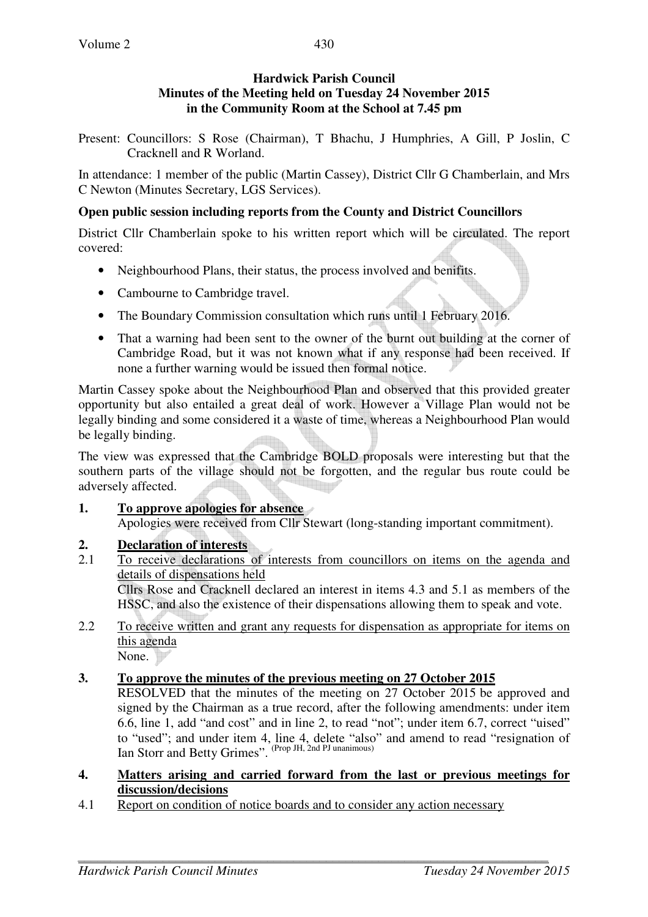## **Hardwick Parish Council Minutes of the Meeting held on Tuesday 24 November 2015 in the Community Room at the School at 7.45 pm**

Present: Councillors: S Rose (Chairman), T Bhachu, J Humphries, A Gill, P Joslin, C Cracknell and R Worland.

In attendance: 1 member of the public (Martin Cassey), District Cllr G Chamberlain, and Mrs C Newton (Minutes Secretary, LGS Services).

## **Open public session including reports from the County and District Councillors**

District Cllr Chamberlain spoke to his written report which will be circulated. The report covered:

- Neighbourhood Plans, their status, the process involved and benifits.
- Cambourne to Cambridge travel.
- The Boundary Commission consultation which runs until 1 February 2016.
- That a warning had been sent to the owner of the burnt out building at the corner of Cambridge Road, but it was not known what if any response had been received. If none a further warning would be issued then formal notice.

Martin Cassey spoke about the Neighbourhood Plan and observed that this provided greater opportunity but also entailed a great deal of work. However a Village Plan would not be legally binding and some considered it a waste of time, whereas a Neighbourhood Plan would be legally binding.

The view was expressed that the Cambridge BOLD proposals were interesting but that the southern parts of the village should not be forgotten, and the regular bus route could be adversely affected.

# **1. To approve apologies for absence**

Apologies were received from Cllr Stewart (long-standing important commitment).

# **2. Declaration of interests**<br>2.1 To receive declarations

2.1 To receive declarations of interests from councillors on items on the agenda and details of dispensations held Cllrs Rose and Cracknell declared an interest in items 4.3 and 5.1 as members of the

HSSC, and also the existence of their dispensations allowing them to speak and vote.

2.2 To receive written and grant any requests for dispensation as appropriate for items on this agenda

None.

## **3. To approve the minutes of the previous meeting on 27 October 2015**

RESOLVED that the minutes of the meeting on 27 October 2015 be approved and signed by the Chairman as a true record, after the following amendments: under item 6.6, line 1, add "and cost" and in line 2, to read "not"; under item 6.7, correct "uised" to "used"; and under item 4, line 4, delete "also" and amend to read "resignation of Ian Storr and Betty Grimes". (Prop JH, 2nd PJ unanimous)

#### **4. Matters arising and carried forward from the last or previous meetings for discussion/decisions**

4.1 Report on condition of notice boards and to consider any action necessary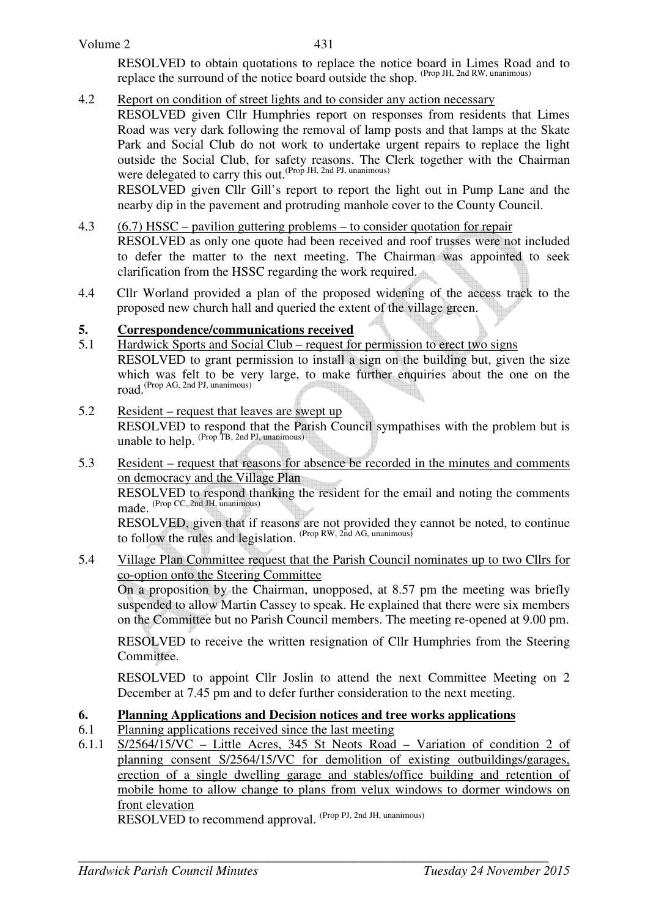#### Volume 2

RESOLVED to obtain quotations to replace the notice board in Limes Road and to replace the surround of the notice board outside the shop. (Prop JH, 2nd RW, unanimous)

4.2 Report on condition of street lights and to consider any action necessary

RESOLVED given Cllr Humphries report on responses from residents that Limes Road was very dark following the removal of lamp posts and that lamps at the Skate Park and Social Club do not work to undertake urgent repairs to replace the light outside the Social Club, for safety reasons. The Clerk together with the Chairman were delegated to carry this out.<sup>(Prop JH, 2nd PJ, unanimous)</sup>

RESOLVED given Cllr Gill's report to report the light out in Pump Lane and the nearby dip in the pavement and protruding manhole cover to the County Council.

- 4.3 (6.7) HSSC pavilion guttering problems to consider quotation for repair RESOLVED as only one quote had been received and roof trusses were not included to defer the matter to the next meeting. The Chairman was appointed to seek clarification from the HSSC regarding the work required.
- 4.4 Cllr Worland provided a plan of the proposed widening of the access track to the proposed new church hall and queried the extent of the village green.

#### **5. Correspondence/communications received**

- 5.1 Hardwick Sports and Social Club request for permission to erect two signs RESOLVED to grant permission to install a sign on the building but, given the size which was felt to be very large, to make further enquiries about the one on the road.(Prop AG, 2nd PJ, unanimous)
- 5.2 Resident request that leaves are swept up RESOLVED to respond that the Parish Council sympathises with the problem but is unable to help.  $(Prop TB, 2nd PI, 1)$  unanimous)
- 5.3 Resident request that reasons for absence be recorded in the minutes and comments on democracy and the Village Plan

RESOLVED to respond thanking the resident for the email and noting the comments made. (Prop CC, 2nd JH, unanimous)

RESOLVED, given that if reasons are not provided they cannot be noted, to continue to follow the rules and legislation. (Prop RW, 2nd AG, unanimous)

#### 5.4 Village Plan Committee request that the Parish Council nominates up to two Cllrs for co-option onto the Steering Committee

On a proposition by the Chairman, unopposed, at 8.57 pm the meeting was briefly suspended to allow Martin Cassey to speak. He explained that there were six members on the Committee but no Parish Council members. The meeting re-opened at 9.00 pm.

RESOLVED to receive the written resignation of Cllr Humphries from the Steering Committee.

RESOLVED to appoint Cllr Joslin to attend the next Committee Meeting on 2 December at 7.45 pm and to defer further consideration to the next meeting.

## **6. Planning Applications and Decision notices and tree works applications**

- 6.1 Planning applications received since the last meeting
- 6.1.1 S/2564/15/VC Little Acres, 345 St Neots Road Variation of condition 2 of planning consent S/2564/15/VC for demolition of existing outbuildings/garages, erection of a single dwelling garage and stables/office building and retention of mobile home to allow change to plans from velux windows to dormer windows on front elevation

RESOLVED to recommend approval. (Prop PJ, 2nd JH, unanimous)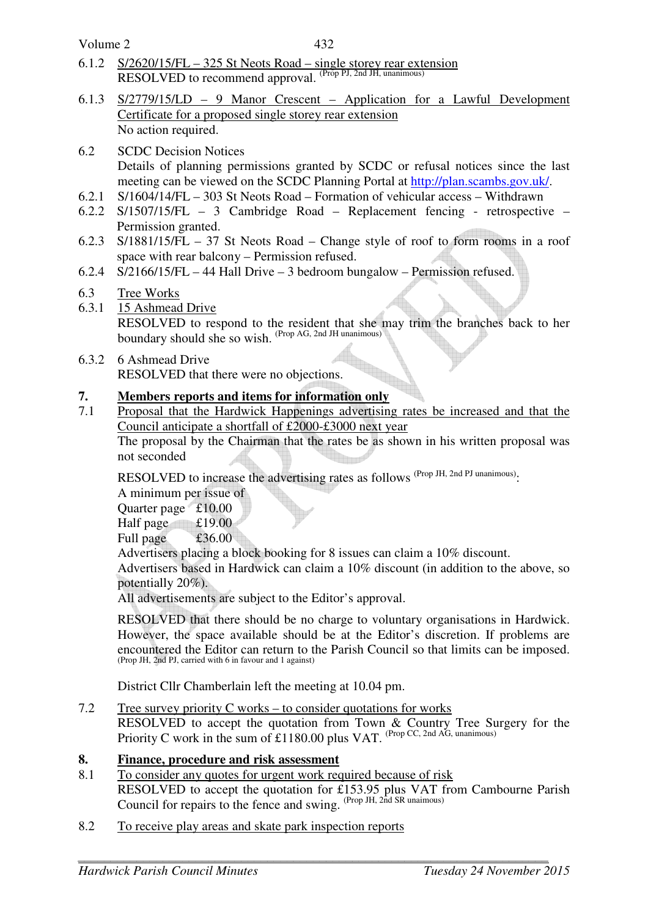Volume 2

- 6.1.2 S/2620/15/FL 325 St Neots Road single storey rear extension RESOLVED to recommend approval. (Prop PJ, 2nd JH, unanimous)
- 6.1.3 S/2779/15/LD 9 Manor Crescent Application for a Lawful Development Certificate for a proposed single storey rear extension No action required.
- 6.2 SCDC Decision Notices Details of planning permissions granted by SCDC or refusal notices since the last meeting can be viewed on the SCDC Planning Portal at http://plan.scambs.gov.uk/.
- 6.2.1 S/1604/14/FL 303 St Neots Road Formation of vehicular access Withdrawn
- 6.2.2 S/1507/15/FL 3 Cambridge Road Replacement fencing retrospective Permission granted.
- 6.2.3 S/1881/15/FL 37 St Neots Road Change style of roof to form rooms in a roof space with rear balcony – Permission refused.
- 6.2.4 S/2166/15/FL 44 Hall Drive 3 bedroom bungalow Permission refused.
- 6.3 Tree Works
- 6.3.1 15 Ashmead Drive RESOLVED to respond to the resident that she may trim the branches back to her boundary should she so wish. (Prop AG, 2nd JH unanimous)
- 6.3.2 6 Ashmead Drive RESOLVED that there were no objections.

## **7. Members reports and items for information only**

7.1 Proposal that the Hardwick Happenings advertising rates be increased and that the Council anticipate a shortfall of £2000-£3000 next year

The proposal by the Chairman that the rates be as shown in his written proposal was not seconded

RESOLVED to increase the advertising rates as follows <sup>(Prop JH, 2nd PJ unanimous)</sup>:

A minimum per issue of

Quarter page £10.00

Half page £19.00

Full page £36.00

Advertisers placing a block booking for 8 issues can claim a 10% discount.

Advertisers based in Hardwick can claim a 10% discount (in addition to the above, so potentially 20%).

All advertisements are subject to the Editor's approval.

RESOLVED that there should be no charge to voluntary organisations in Hardwick. However, the space available should be at the Editor's discretion. If problems are encountered the Editor can return to the Parish Council so that limits can be imposed. (Prop JH, 2nd PJ, carried with 6 in favour and 1 against)

District Cllr Chamberlain left the meeting at 10.04 pm.

7.2 Tree survey priority C works – to consider quotations for works

RESOLVED to accept the quotation from Town & Country Tree Surgery for the Priority C work in the sum of £1180.00 plus VAT. <sup>(Prop CC, 2nd AG, unanimous)</sup>

# **8. Finance, procedure and risk assessment**

- 8.1 To consider any quotes for urgent work required because of risk RESOLVED to accept the quotation for £153.95 plus VAT from Cambourne Parish Council for repairs to the fence and swing. (Prop JH, 2nd SR unaimous)
- 8.2 To receive play areas and skate park inspection reports